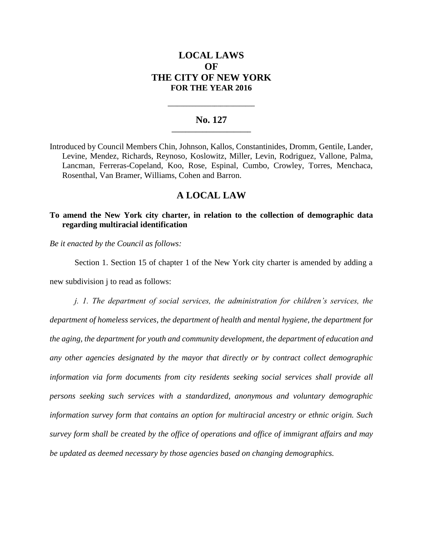# **LOCAL LAWS OF THE CITY OF NEW YORK FOR THE YEAR 2016**

### **No. 127 \_\_\_\_\_\_\_\_\_\_\_\_\_\_\_\_\_\_\_\_\_\_\_**

**\_\_\_\_\_\_\_\_\_\_\_\_\_\_\_\_\_\_\_\_\_\_\_\_\_\_\_\_**

Introduced by Council Members Chin, Johnson, Kallos, Constantinides, Dromm, Gentile, Lander, Levine, Mendez, Richards, Reynoso, Koslowitz, Miller, Levin, Rodriguez, Vallone, Palma, Lancman, Ferreras-Copeland, Koo, Rose, Espinal, Cumbo, Crowley, Torres, Menchaca, Rosenthal, Van Bramer, Williams, Cohen and Barron.

## **A LOCAL LAW**

## **To amend the New York city charter, in relation to the collection of demographic data regarding multiracial identification**

*Be it enacted by the Council as follows:*

Section 1. Section 15 of chapter 1 of the New York city charter is amended by adding a new subdivision j to read as follows:

*j. 1. The department of social services, the administration for children's services, the department of homeless services, the department of health and mental hygiene, the department for the aging, the department for youth and community development, the department of education and any other agencies designated by the mayor that directly or by contract collect demographic information via form documents from city residents seeking social services shall provide all persons seeking such services with a standardized, anonymous and voluntary demographic information survey form that contains an option for multiracial ancestry or ethnic origin. Such survey form shall be created by the office of operations and office of immigrant affairs and may be updated as deemed necessary by those agencies based on changing demographics.*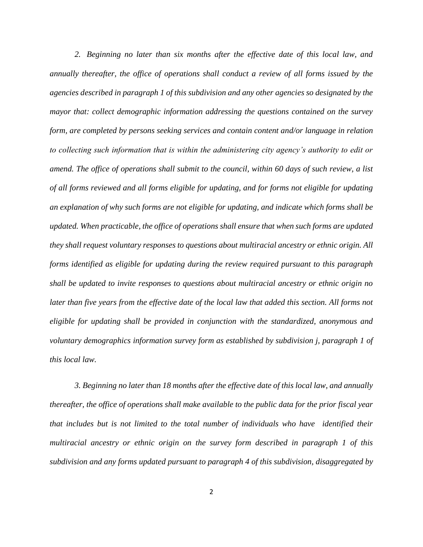*2. Beginning no later than six months after the effective date of this local law, and annually thereafter, the office of operations shall conduct a review of all forms issued by the agencies described in paragraph 1 of this subdivision and any other agencies so designated by the mayor that: collect demographic information addressing the questions contained on the survey form, are completed by persons seeking services and contain content and/or language in relation to collecting such information that is within the administering city agency's authority to edit or amend. The office of operations shall submit to the council, within 60 days of such review, a list of all forms reviewed and all forms eligible for updating, and for forms not eligible for updating an explanation of why such forms are not eligible for updating, and indicate which forms shall be updated. When practicable, the office of operations shall ensure that when such forms are updated they shall request voluntary responses to questions about multiracial ancestry or ethnic origin. All forms identified as eligible for updating during the review required pursuant to this paragraph shall be updated to invite responses to questions about multiracial ancestry or ethnic origin no*  later than five years from the effective date of the local law that added this section. All forms not *eligible for updating shall be provided in conjunction with the standardized, anonymous and voluntary demographics information survey form as established by subdivision j, paragraph 1 of this local law.*

*3. Beginning no later than 18 months after the effective date of this local law, and annually thereafter, the office of operations shall make available to the public data for the prior fiscal year that includes but is not limited to the total number of individuals who have identified their multiracial ancestry or ethnic origin on the survey form described in paragraph 1 of this subdivision and any forms updated pursuant to paragraph 4 of this subdivision, disaggregated by*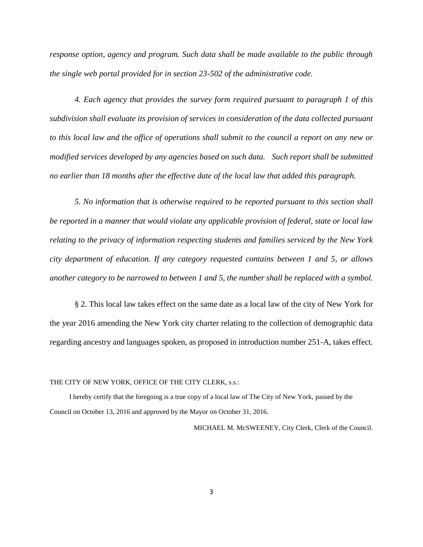*response option, agency and program. Such data shall be made available to the public through the single web portal provided for in section 23-502 of the administrative code.*

*4. Each agency that provides the survey form required pursuant to paragraph 1 of this subdivision shall evaluate its provision of services in consideration of the data collected pursuant to this local law and the office of operations shall submit to the council a report on any new or modified services developed by any agencies based on such data. Such report shall be submitted no earlier than 18 months after the effective date of the local law that added this paragraph.* 

*5. No information that is otherwise required to be reported pursuant to this section shall be reported in a manner that would violate any applicable provision of federal, state or local law relating to the privacy of information respecting students and families serviced by the New York city department of education. If any category requested contains between 1 and 5, or allows another category to be narrowed to between 1 and 5, the number shall be replaced with a symbol.*

§ 2. This local law takes effect on the same date as a local law of the city of New York for the year 2016 amending the New York city charter relating to the collection of demographic data regarding ancestry and languages spoken, as proposed in introduction number 251-A, takes effect.

#### THE CITY OF NEW YORK, OFFICE OF THE CITY CLERK, s.s.:

 I hereby certify that the foregoing is a true copy of a local law of The City of New York, passed by the Council on October 13, 2016 and approved by the Mayor on October 31, 2016.

MICHAEL M. McSWEENEY, City Clerk, Clerk of the Council.